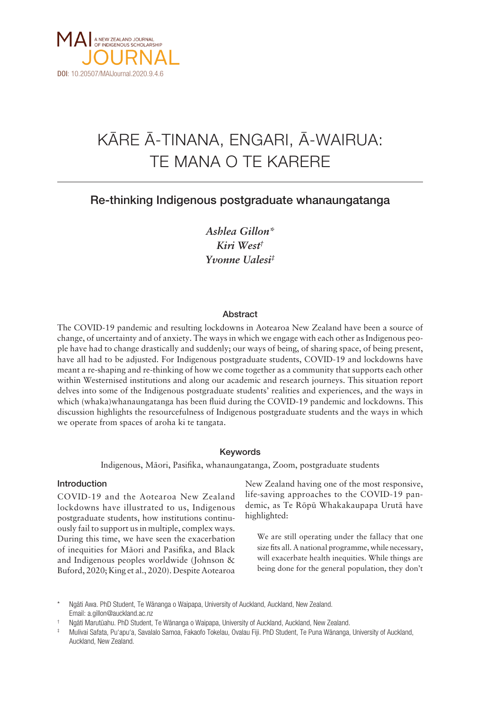

# KÄRE Ä-TINANA, ENGARI, Ä-WAIRUA: TE MANA O TE KARERE

## Re-thinking Indigenous postgraduate whanaungatanga

*Ashlea Gillon\* Kiri West† Yvonne Ualesi‡*

## Abstract

The COVID-19 pandemic and resulting lockdowns in Aotearoa New Zealand have been a source of change, of uncertainty and of anxiety. The ways in which we engage with each other as Indigenous people have had to change drastically and suddenly; our ways of being, of sharing space, of being present, have all had to be adjusted. For Indigenous postgraduate students, COVID-19 and lockdowns have meant a re-shaping and re-thinking of how we come together as a community that supports each other within Westernised institutions and along our academic and research journeys. This situation report delves into some of the Indigenous postgraduate students' realities and experiences, and the ways in which (whaka)whanaungatanga has been fluid during the COVID-19 pandemic and lockdowns. This discussion highlights the resourcefulness of Indigenous postgraduate students and the ways in which we operate from spaces of aroha ki te tangata.

## Keywords

Indigenous, Mäori, Pasifika, whanaungatanga, Zoom, postgraduate students

## Introduction

COVID-19 and the Aotearoa New Zealand lockdowns have illustrated to us, Indigenous postgraduate students, how institutions continuously fail to support us in multiple, complex ways. During this time, we have seen the exacerbation of inequities for Mäori and Pasifika, and Black and Indigenous peoples worldwide (Johnson & Buford, 2020; King et al., 2020). Despite Aotearoa New Zealand having one of the most responsive, life-saving approaches to the COVID-19 pandemic, as Te Röpü Whakakaupapa Urutä have highlighted:

We are still operating under the fallacy that one size fits all. A national programme, while necessary, will exacerbate health inequities. While things are being done for the general population, they don't

Ngāti Awa. PhD Student, Te Wānanga o Waipapa, University of Auckland, Auckland, New Zealand. Email: a.gillon@auckland.ac.nz

<sup>†</sup> Ngäti Marutüahu. PhD Student, Te Wänanga o Waipapa, University of Auckland, Auckland, New Zealand.

<sup>‡</sup> Mulivai Safata, Pu'apu'a, Savalalo Samoa, Fakaofo Tokelau, Ovalau Fiji. PhD Student, Te Puna Wänanga, University of Auckland, Auckland, New Zealand.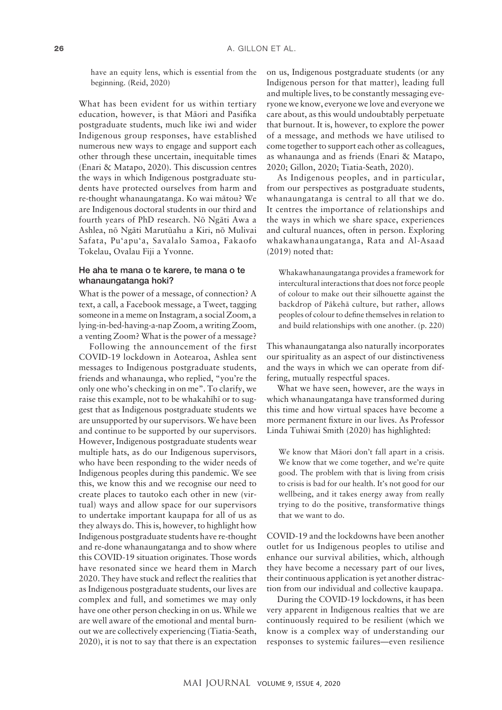have an equity lens, which is essential from the beginning. (Reid, 2020)

What has been evident for us within tertiary education, however, is that Mäori and Pasifika postgraduate students, much like iwi and wider Indigenous group responses, have established numerous new ways to engage and support each other through these uncertain, inequitable times (Enari & Matapo, 2020). This discussion centres the ways in which Indigenous postgraduate students have protected ourselves from harm and re-thought whanaungatanga. Ko wai mätou? We are Indigenous doctoral students in our third and fourth years of PhD research. Nö Ngäti Awa a Ashlea, nö Ngäti Marutüahu a Kiri, nö Mulivai Safata, Pu'apu'a, Savalalo Samoa, Fakaofo Tokelau, Ovalau Fiji a Yvonne.

### He aha te mana o te karere, te mana o te whanaungatanga hoki?

What is the power of a message, of connection? A text, a call, a Facebook message, a Tweet, tagging someone in a meme on Instagram, a social Zoom, a lying-in-bed-having-a-nap Zoom, a writing Zoom, a venting Zoom? What is the power of a message?

Following the announcement of the first COVID-19 lockdown in Aotearoa, Ashlea sent messages to Indigenous postgraduate students, friends and whanaunga, who replied, "you're the only one who's checking in on me". To clarify, we raise this example, not to be whakahïhï or to suggest that as Indigenous postgraduate students we are unsupported by our supervisors. We have been and continue to be supported by our supervisors. However, Indigenous postgraduate students wear multiple hats, as do our Indigenous supervisors, who have been responding to the wider needs of Indigenous peoples during this pandemic. We see this, we know this and we recognise our need to create places to tautoko each other in new (virtual) ways and allow space for our supervisors to undertake important kaupapa for all of us as they always do. This is, however, to highlight how Indigenous postgraduate students have re-thought and re-done whanaungatanga and to show where this COVID-19 situation originates. Those words have resonated since we heard them in March 2020. They have stuck and reflect the realities that as Indigenous postgraduate students, our lives are complex and full, and sometimes we may only have one other person checking in on us. While we are well aware of the emotional and mental burnout we are collectively experiencing (Tiatia-Seath, 2020), it is not to say that there is an expectation

on us, Indigenous postgraduate students (or any Indigenous person for that matter), leading full and multiple lives, to be constantly messaging everyone we know, everyone we love and everyone we care about, as this would undoubtably perpetuate that burnout. It is, however, to explore the power of a message, and methods we have utilised to come together to support each other as colleagues, as whanaunga and as friends (Enari & Matapo, 2020; Gillon, 2020; Tiatia-Seath, 2020).

As Indigenous peoples, and in particular, from our perspectives as postgraduate students, whanaungatanga is central to all that we do. It centres the importance of relationships and the ways in which we share space, experiences and cultural nuances, often in person. Exploring whakawhanaungatanga, Rata and Al-Asaad (2019) noted that:

Whakawhanaungatanga provides a framework for intercultural interactions that does not force people of colour to make out their silhouette against the backdrop of Päkehä culture, but rather, allows peoples of colour to define themselves in relation to and build relationships with one another. (p. 220)

This whanaungatanga also naturally incorporates our spirituality as an aspect of our distinctiveness and the ways in which we can operate from differing, mutually respectful spaces.

What we have seen, however, are the ways in which whanaungatanga have transformed during this time and how virtual spaces have become a more permanent fixture in our lives. As Professor Linda Tuhiwai Smith (2020) has highlighted:

We know that Mäori don't fall apart in a crisis. We know that we come together, and we're quite good. The problem with that is living from crisis to crisis is bad for our health. It's not good for our wellbeing, and it takes energy away from really trying to do the positive, transformative things that we want to do.

COVID-19 and the lockdowns have been another outlet for us Indigenous peoples to utilise and enhance our survival abilities, which, although they have become a necessary part of our lives, their continuous application is yet another distraction from our individual and collective kaupapa.

During the COVID-19 lockdowns, it has been very apparent in Indigenous realties that we are continuously required to be resilient (which we know is a complex way of understanding our responses to systemic failures—even resilience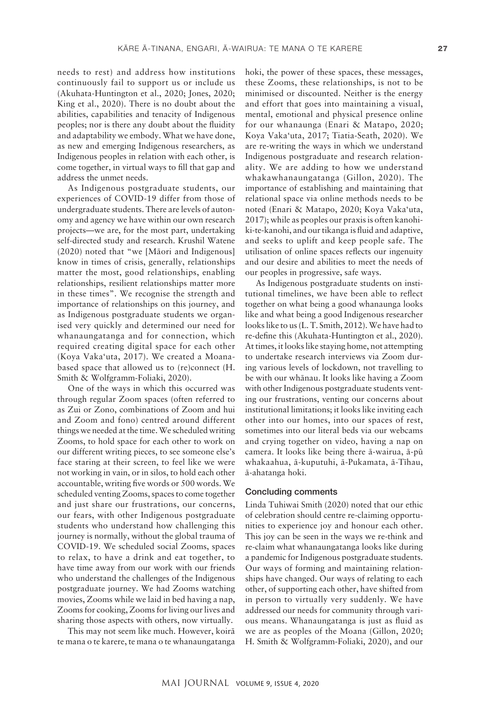needs to rest) and address how institutions continuously fail to support us or include us (Akuhata-Huntington et al., 2020; Jones, 2020; King et al., 2020). There is no doubt about the abilities, capabilities and tenacity of Indigenous peoples; nor is there any doubt about the fluidity and adaptability we embody. What we have done, as new and emerging Indigenous researchers, as Indigenous peoples in relation with each other, is come together, in virtual ways to fill that gap and address the unmet needs.

As Indigenous postgraduate students, our experiences of COVID-19 differ from those of undergraduate students. There are levels of autonomy and agency we have within our own research projects—we are, for the most part, undertaking self-directed study and research. Krushil Watene (2020) noted that "we [Mäori and Indigenous] know in times of crisis, generally, relationships matter the most, good relationships, enabling relationships, resilient relationships matter more in these times". We recognise the strength and importance of relationships on this journey, and as Indigenous postgraduate students we organised very quickly and determined our need for whanaungatanga and for connection, which required creating digital space for each other (Koya Vaka'uta, 2017). We created a Moanabased space that allowed us to (re)connect (H. Smith & Wolfgramm-Foliaki, 2020).

One of the ways in which this occurred was through regular Zoom spaces (often referred to as Zui or Zono, combinations of Zoom and hui and Zoom and fono) centred around different things we needed at the time. We scheduled writing Zooms, to hold space for each other to work on our different writing pieces, to see someone else's face staring at their screen, to feel like we were not working in vain, or in silos, to hold each other accountable, writing five words or 500 words. We scheduled venting Zooms, spaces to come together and just share our frustrations, our concerns, our fears, with other Indigenous postgraduate students who understand how challenging this journey is normally, without the global trauma of COVID-19. We scheduled social Zooms, spaces to relax, to have a drink and eat together, to have time away from our work with our friends who understand the challenges of the Indigenous postgraduate journey. We had Zooms watching movies, Zooms while we laid in bed having a nap, Zooms for cooking, Zooms for living our lives and sharing those aspects with others, now virtually.

This may not seem like much. However, koirä te mana o te karere, te mana o te whanaungatanga hoki, the power of these spaces, these messages, these Zooms, these relationships, is not to be minimised or discounted. Neither is the energy and effort that goes into maintaining a visual, mental, emotional and physical presence online for our whanaunga (Enari & Matapo, 2020; Koya Vaka'uta, 2017; Tiatia-Seath, 2020). We are re-writing the ways in which we understand Indigenous postgraduate and research relationality. We are adding to how we understand whakawhanaungatanga (Gillon, 2020). The importance of establishing and maintaining that relational space via online methods needs to be noted (Enari & Matapo, 2020; Koya Vaka'uta, 2017); while as peoples our praxis is often kanohiki-te-kanohi, and our tikanga is fluid and adaptive, and seeks to uplift and keep people safe. The utilisation of online spaces reflects our ingenuity and our desire and abilities to meet the needs of our peoples in progressive, safe ways.

As Indigenous postgraduate students on institutional timelines, we have been able to reflect together on what being a good whanaunga looks like and what being a good Indigenous researcher looks like to us (L. T. Smith, 2012). We have had to re-define this (Akuhata-Huntington et al., 2020). At times, it looks like staying home, not attempting to undertake research interviews via Zoom during various levels of lockdown, not travelling to be with our whänau. It looks like having a Zoom with other Indigenous postgraduate students venting our frustrations, venting our concerns about institutional limitations; it looks like inviting each other into our homes, into our spaces of rest, sometimes into our literal beds via our webcams and crying together on video, having a nap on camera. It looks like being there ä-wairua, ä-pü whakaahua, ä-kuputuhi, ä-Pukamata, ä-Tïhau, ä-ahatanga hoki.

#### Concluding comments

Linda Tuhiwai Smith (2020) noted that our ethic of celebration should centre re-claiming opportunities to experience joy and honour each other. This joy can be seen in the ways we re-think and re-claim what whanaungatanga looks like during a pandemic for Indigenous postgraduate students. Our ways of forming and maintaining relationships have changed. Our ways of relating to each other, of supporting each other, have shifted from in person to virtually very suddenly. We have addressed our needs for community through various means. Whanaungatanga is just as fluid as we are as peoples of the Moana (Gillon, 2020; H. Smith & Wolfgramm-Foliaki, 2020), and our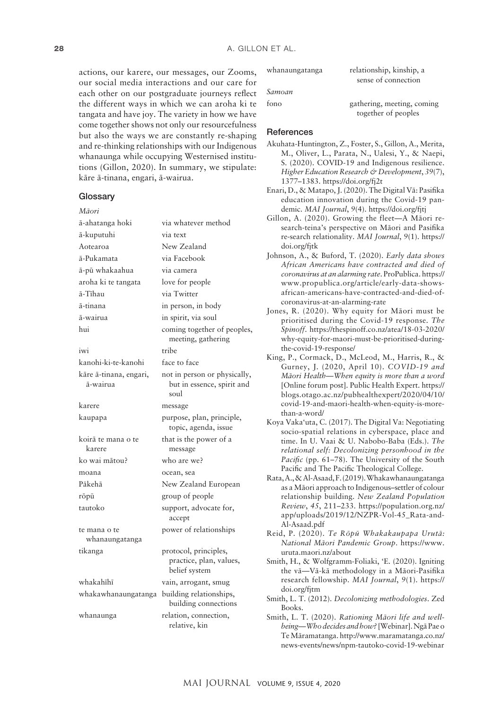actions, our karere, our messages, our Zooms, our social media interactions and our care for each other on our postgraduate journeys reflect the different ways in which we can aroha ki te tangata and have joy. The variety in how we have come together shows not only our resourcefulness but also the ways we are constantly re-shaping and re-thinking relationships with our Indigenous whanaunga while occupying Westernised institutions (Gillon, 2020). In summary, we stipulate: käre ä-tinana, engari, ä-wairua.

#### **Glossary**

| Māori                              |                                                                    |
|------------------------------------|--------------------------------------------------------------------|
| ā-ahatanga hoki                    | via whatever method                                                |
| ā-kuputuhi                         | via text                                                           |
| Aotearoa                           | New Zealand                                                        |
| ā-Pukamata                         | via Facebook                                                       |
| ā-pū whakaahua                     | via camera                                                         |
| aroha ki te tangata                | love for people                                                    |
| ā-Tīhau                            | via Twitter                                                        |
| ā-tinana                           | in person, in body                                                 |
| ā-wairua                           | in spirit, via soul                                                |
| hui                                | coming together of peoples,<br>meeting, gathering                  |
| iwi                                | tribe                                                              |
| kanohi-ki-te-kanohi                | face to face                                                       |
| kāre ā-tinana, engari,<br>ā-wairua | not in person or physically,<br>but in essence, spirit and<br>soul |
| karere                             | message                                                            |
| kaupapa                            | purpose, plan, principle,<br>topic, agenda, issue                  |
| koirā te mana o te<br>karere       | that is the power of a<br>message                                  |
| ko wai mātou?                      | who are we?                                                        |
| moana                              | ocean, sea                                                         |
| Pākehā                             | New Zealand European                                               |
| rōpū                               | group of people                                                    |
| tautoko                            | support, advocate for,<br>accept                                   |
| te mana o te<br>whanaungatanga     | power of relationships                                             |
| tikanga                            | protocol, principles,<br>practice, plan, values,<br>belief system  |
| whakahīhī                          | vain, arrogant, smug                                               |
| whakawhanaungatanga                | building relationships,<br>building connections                    |
| whanaunga                          | relation, connection,<br>relative, kin                             |

| whanaungatanga | relationship, kinship, a   |
|----------------|----------------------------|
|                | sense of connection        |
| Samoan         |                            |
| fono           | gathering, meeting, coming |
|                | together of peoples        |

#### References

- Akuhata-Huntington, Z., Foster, S., Gillon, A., Merita, M., Oliver, L., Parata, N., Ualesi, Y., & Naepi, S. (2020). COVID-19 and Indigenous resilience. *Higher Education Research & Development*, *39*(7), 1377–1383. <https://doi.org/fj2t>
- Enari, D., & Matapo, J. (2020). The Digital Vä: Pasifika education innovation during the Covid-19 pandemic. *MAI Journal*, *9*(4).<https://doi.org/fjtj>
- Gillon, A. (2020). Growing the fleet—A Mäori research-teina's perspective on Mäori and Pasifika re-search relationality. *MAI Journal*, *9*(1). [https://](https://doi.org/fjtk) [doi.org/fjtk](https://doi.org/fjtk)
- Johnson, A., & Buford, T. (2020). *Early data shows African Americans have contracted and died of coronavirus at an alarming rate*. ProPublica. [https://](https://www.propublica.org/article/early-data-shows-african-americans-have-contracted-and-died-of-coronavirus-at-an-alarming-rate) [www.propublica.org/article/early-data-shows](https://www.propublica.org/article/early-data-shows-african-americans-have-contracted-and-died-of-coronavirus-at-an-alarming-rate)[african-americans-have-contracted-and-died-of](https://www.propublica.org/article/early-data-shows-african-americans-have-contracted-and-died-of-coronavirus-at-an-alarming-rate)[coronavirus-at-an-alarming-rate](https://www.propublica.org/article/early-data-shows-african-americans-have-contracted-and-died-of-coronavirus-at-an-alarming-rate)
- Jones, R. (2020). Why equity for Mäori must be prioritised during the Covid-19 response. *The Spinoff*. [https://thespinoff.co.nz/atea/18-03-2020/](https://thespinoff.co.nz/atea/18-03-2020/why-equity-for-maori-must-be-prioritised-during-the-covid-19-response/) [why-equity-for-maori-must-be-prioritised-during](https://thespinoff.co.nz/atea/18-03-2020/why-equity-for-maori-must-be-prioritised-during-the-covid-19-response/)[the-covid-19-response/](https://thespinoff.co.nz/atea/18-03-2020/why-equity-for-maori-must-be-prioritised-during-the-covid-19-response/)
- King, P., Cormack, D., McLeod, M., Harris, R., & Gurney, J. (2020, April 10). *COVID-19 and Mäori Health—When equity is more than a word* [Online forum post]. Public Health Expert. [https://](https://blogs.otago.ac.nz/pubhealthexpert/2020/04/10/covid-19-and-maori-health-when-equity-is-more-than-a-word/) [blogs.otago.ac.nz/pubhealthexpert/2020/04/10/](https://blogs.otago.ac.nz/pubhealthexpert/2020/04/10/covid-19-and-maori-health-when-equity-is-more-than-a-word/) [covid-19-and-maori-health-when-equity-is-more](https://blogs.otago.ac.nz/pubhealthexpert/2020/04/10/covid-19-and-maori-health-when-equity-is-more-than-a-word/)[than-a-word/](https://blogs.otago.ac.nz/pubhealthexpert/2020/04/10/covid-19-and-maori-health-when-equity-is-more-than-a-word/)
- Koya Vaka'uta, C. (2017). The Digital Va: Negotiating socio-spatial relations in cyberspace, place and time. In U. Vaai & U. Nabobo-Baba (Eds.). *The relational self: Decolonizing personhood in the*  Pacific (pp. 61–78). The University of the South Pacific and The Pacific Theological College.
- Rata, A., & Al-Asaad, F. (2019). Whakawhanaungatanga as a Mäori approach to Indigenous–settler of colour relationship building. *New Zealand Population Review*, *45*, 211–233. [https://population.org.nz/](https://population.org.nz/app/uploads/2019/12/NZPR-Vol-45_Rata-and-Al-Asaad.pdf) [app/uploads/2019/12/NZPR-Vol-45\\_Rata-and-](https://population.org.nz/app/uploads/2019/12/NZPR-Vol-45_Rata-and-Al-Asaad.pdf)[Al-Asaad.pdf](https://population.org.nz/app/uploads/2019/12/NZPR-Vol-45_Rata-and-Al-Asaad.pdf)
- Reid, P. (2020). *Te Röpü Whakakaupapa Urutä: National Mäori Pandemic Group*. [https://www.](https://www.uruta.maori.nz/about) [uruta.maori.nz/about](https://www.uruta.maori.nz/about)
- Smith, H., & Wolfgramm-Foliaki, 'E. (2020). Igniting the vä—Vä-kä methodology in a Mäori-Pasifika research fellowship. *MAI Journal*, *9*(1). [https://](https://doi.org/fjtm) [doi.org/fjtm](https://doi.org/fjtm)
- Smith, L. T. (2012). *Decolonizing methodologies*. Zed Books.
- Smith, L. T. (2020). *Rationing Mäori life and wellbeing—Who decides and how?* [Webinar]. Ngä Pae o Te Märamatanga. [http://www.maramatanga.co.nz/](http://www.maramatanga.co.nz/news-events/news/npm-tautoko-covid-19-webinar) [news-events/news/npm-tautoko-covid-19-webinar](http://www.maramatanga.co.nz/news-events/news/npm-tautoko-covid-19-webinar)